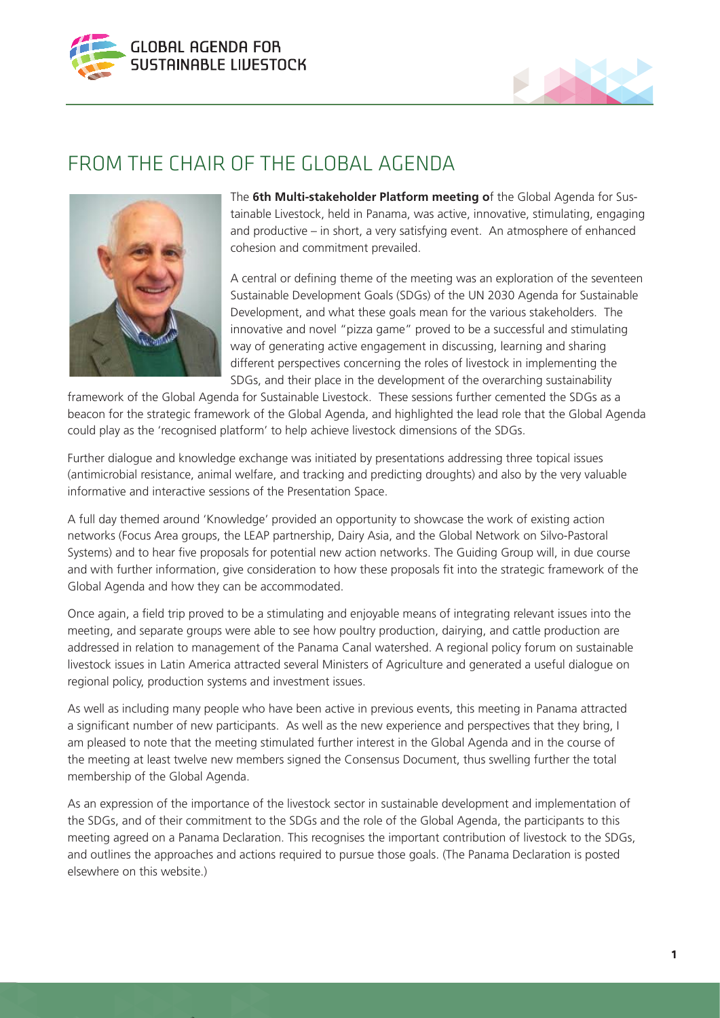



## FROM THE CHAIR OF THE GLOBAL AGENDA



The **6th Multi-stakeholder Platform meeting o**f the Global Agenda for Sustainable Livestock, held in Panama, was active, innovative, stimulating, engaging and productive – in short, a very satisfying event. An atmosphere of enhanced cohesion and commitment prevailed.

A central or defining theme of the meeting was an exploration of the seventeen Sustainable Development Goals (SDGs) of the UN 2030 Agenda for Sustainable Development, and what these goals mean for the various stakeholders. The innovative and novel "pizza game" proved to be a successful and stimulating way of generating active engagement in discussing, learning and sharing different perspectives concerning the roles of livestock in implementing the SDGs, and their place in the development of the overarching sustainability

framework of the Global Agenda for Sustainable Livestock. These sessions further cemented the SDGs as a beacon for the strategic framework of the Global Agenda, and highlighted the lead role that the Global Agenda could play as the 'recognised platform' to help achieve livestock dimensions of the SDGs.

Further dialogue and knowledge exchange was initiated by presentations addressing three topical issues (antimicrobial resistance, animal welfare, and tracking and predicting droughts) and also by the very valuable informative and interactive sessions of the Presentation Space.

A full day themed around 'Knowledge' provided an opportunity to showcase the work of existing action networks (Focus Area groups, the LEAP partnership, Dairy Asia, and the Global Network on Silvo-Pastoral Systems) and to hear five proposals for potential new action networks. The Guiding Group will, in due course and with further information, give consideration to how these proposals fit into the strategic framework of the Global Agenda and how they can be accommodated.

Once again, a field trip proved to be a stimulating and enjoyable means of integrating relevant issues into the meeting, and separate groups were able to see how poultry production, dairying, and cattle production are addressed in relation to management of the Panama Canal watershed. A regional policy forum on sustainable livestock issues in Latin America attracted several Ministers of Agriculture and generated a useful dialogue on regional policy, production systems and investment issues.

As well as including many people who have been active in previous events, this meeting in Panama attracted a significant number of new participants. As well as the new experience and perspectives that they bring, I am pleased to note that the meeting stimulated further interest in the Global Agenda and in the course of the meeting at least twelve new members signed the Consensus Document, thus swelling further the total membership of the Global Agenda.

As an expression of the importance of the livestock sector in sustainable development and implementation of the SDGs, and of their commitment to the SDGs and the role of the Global Agenda, the participants to this meeting agreed on a Panama Declaration. This recognises the important contribution of livestock to the SDGs, and outlines the approaches and actions required to pursue those goals. (The Panama Declaration is posted elsewhere on this website.)